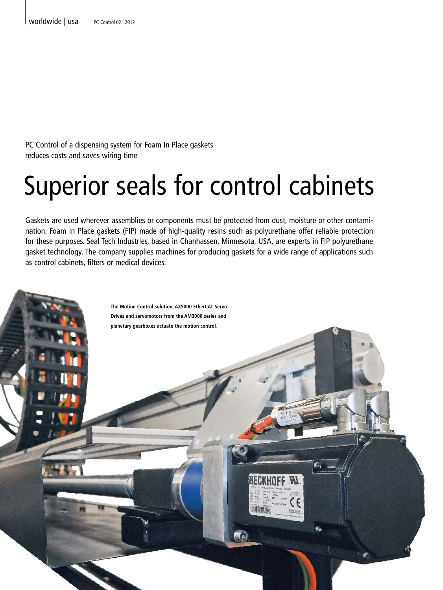PC Control of a dispensing system for Foam In Place gaskets reduces costs and saves wiring time

## Superior seals for control cabinets

Gaskets are used wherever assemblies or components must be protected from dust, moisture or other contamination. Foam In Place gaskets (FIP) made of high-quality resins such as polyurethane offer reliable protection for these purposes. Seal Tech Industries, based in Chanhassen, Minnesota, USA, are experts in FIP polyurethane gasket technology. The company supplies machines for producing gaskets for a wide range of applications such as control cabinets, filters or medical devices.